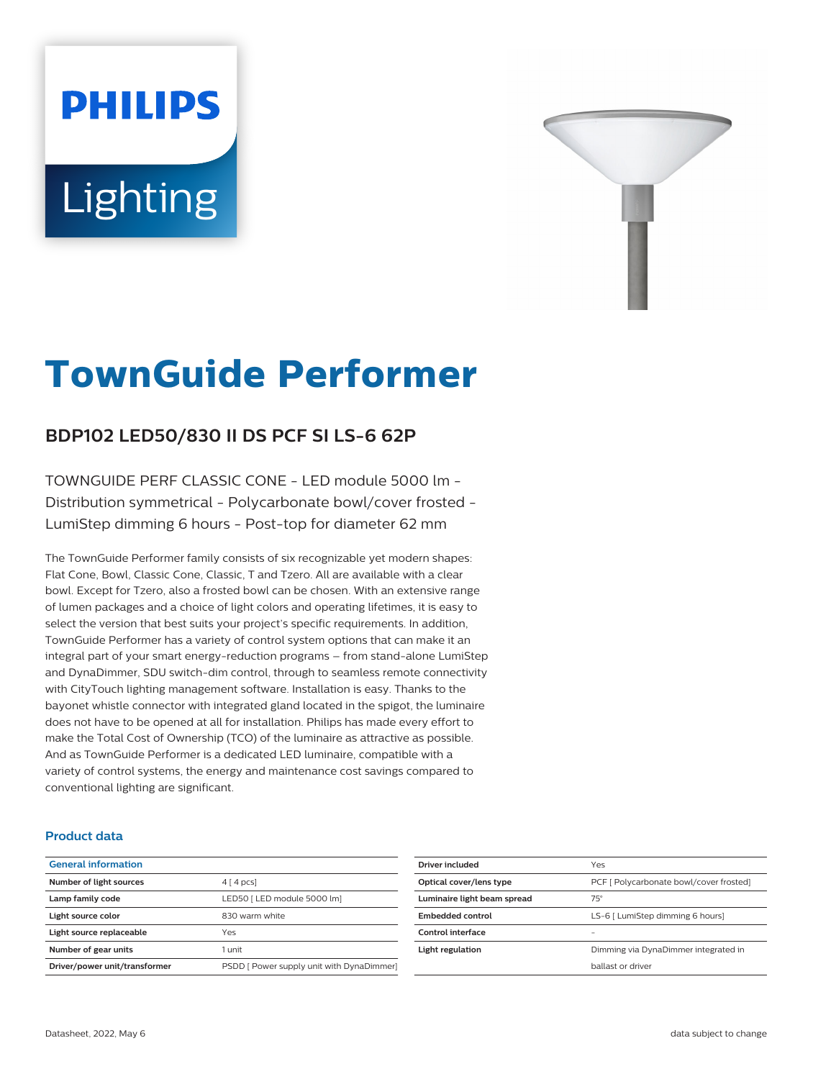# **PHILIPS** Lighting



# **TownGuide Performer**

# **BDP102 LED50/830 II DS PCF SI LS-6 62P**

TOWNGUIDE PERF CLASSIC CONE - LED module 5000 lm - Distribution symmetrical - Polycarbonate bowl/cover frosted - LumiStep dimming 6 hours - Post-top for diameter 62 mm

The TownGuide Performer family consists of six recognizable yet modern shapes: Flat Cone, Bowl, Classic Cone, Classic, T and Tzero. All are available with a clear bowl. Except for Tzero, also a frosted bowl can be chosen. With an extensive range of lumen packages and a choice of light colors and operating lifetimes, it is easy to select the version that best suits your project's specific requirements. In addition, TownGuide Performer has a variety of control system options that can make it an integral part of your smart energy-reduction programs – from stand-alone LumiStep and DynaDimmer, SDU switch-dim control, through to seamless remote connectivity with CityTouch lighting management software. Installation is easy. Thanks to the bayonet whistle connector with integrated gland located in the spigot, the luminaire does not have to be opened at all for installation. Philips has made every effort to make the Total Cost of Ownership (TCO) of the luminaire as attractive as possible. And as TownGuide Performer is a dedicated LED luminaire, compatible with a variety of control systems, the energy and maintenance cost savings compared to conventional lighting are significant.

### **Product data**

| <b>General information</b>    |                                           |
|-------------------------------|-------------------------------------------|
| Number of light sources       | $4 \mid 4 \mid pcs$                       |
| Lamp family code              | LED50   LED module 5000 lml               |
| Light source color            | 830 warm white                            |
| Light source replaceable      | Yes                                       |
| Number of gear units          | 1 unit                                    |
| Driver/power unit/transformer | PSDD [ Power supply unit with DynaDimmer] |

| Driver included             | Yes                                     |  |
|-----------------------------|-----------------------------------------|--|
| Optical cover/lens type     | PCF [ Polycarbonate bowl/cover frosted] |  |
| Luminaire light beam spread | $75^\circ$                              |  |
| Embedded control            | LS-6 [ LumiStep dimming 6 hours]        |  |
| Control interface           |                                         |  |
| Light regulation            | Dimming via DynaDimmer integrated in    |  |
|                             | hallast or driver                       |  |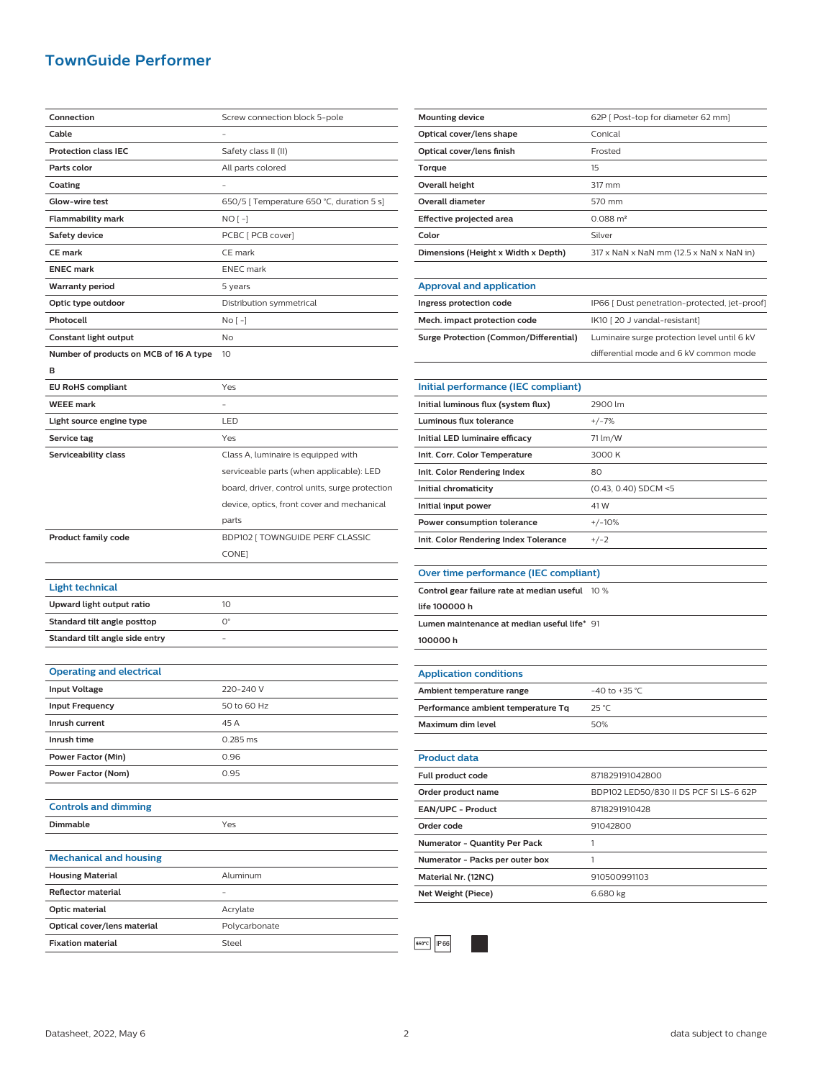## **TownGuide Performer**

| Connection                             | Screw connection block 5-pole                  |  |
|----------------------------------------|------------------------------------------------|--|
| Cable                                  |                                                |  |
| <b>Protection class IEC</b>            | Safety class II (II)                           |  |
| Parts color                            | All parts colored                              |  |
| Coating                                |                                                |  |
| Glow-wire test                         | 650/5 [ Temperature 650 °C, duration 5 s]      |  |
| <b>Flammability mark</b>               | NO [ -]                                        |  |
| <b>Safety device</b>                   | PCBC [ PCB cover]                              |  |
| <b>CE mark</b>                         | CE mark                                        |  |
| <b>ENEC mark</b>                       | <b>ENEC</b> mark                               |  |
| <b>Warranty period</b>                 | 5 years                                        |  |
| Optic type outdoor                     | Distribution symmetrical                       |  |
| Photocell                              | No [ -]                                        |  |
| Constant light output                  | No                                             |  |
| Number of products on MCB of 16 A type | 10                                             |  |
| в                                      |                                                |  |
| <b>EU RoHS compliant</b>               | Yes                                            |  |
| <b>WEEE mark</b>                       |                                                |  |
| Light source engine type               | LED                                            |  |
| Service tag                            | Yes                                            |  |
| Serviceability class                   | Class A, luminaire is equipped with            |  |
|                                        | serviceable parts (when applicable): LED       |  |
|                                        | board, driver, control units, surge protection |  |
|                                        | device, optics, front cover and mechanical     |  |
|                                        | parts                                          |  |
|                                        |                                                |  |
|                                        |                                                |  |
| <b>Product family code</b>             | BDP102 [ TOWNGUIDE PERF CLASSIC                |  |
|                                        | CONE]                                          |  |
|                                        |                                                |  |
| <b>Light technical</b>                 |                                                |  |
| Upward light output ratio              | 10                                             |  |
| Standard tilt angle posttop            | О°                                             |  |
| Standard tilt angle side entry         |                                                |  |
|                                        |                                                |  |
| <b>Operating and electrical</b>        |                                                |  |
| <b>Input Voltage</b>                   | 220-240 V                                      |  |
| <b>Input Frequency</b>                 | 50 to 60 Hz                                    |  |
| Inrush current                         | 45 A                                           |  |
| Inrush time                            | 0.285 ms                                       |  |
| Power Factor (Min)                     | 0.96                                           |  |
| Power Factor (Nom)                     | 0.95                                           |  |
|                                        |                                                |  |
| <b>Controls and dimming</b>            |                                                |  |
| Dimmable                               | Yes                                            |  |
|                                        |                                                |  |
| <b>Mechanical and housing</b>          |                                                |  |
| <b>Housing Material</b>                | Aluminum                                       |  |
| <b>Reflector material</b>              |                                                |  |
| Optic material                         | Acrylate                                       |  |
| Optical cover/lens material            | Polycarbonate                                  |  |

| <b>Mounting device</b>              | 62P   Post-top for diameter 62 mm]                                   |
|-------------------------------------|----------------------------------------------------------------------|
| Optical cover/lens shape            | Conical                                                              |
| Optical cover/lens finish           | Frosted                                                              |
| Torque                              | 15                                                                   |
| Overall height                      | 317 mm                                                               |
| Overall diameter                    | 570 mm                                                               |
| Effective projected area            | $0.088 \text{ m}^2$                                                  |
| Color                               | Silver                                                               |
| Dimensions (Height x Width x Depth) | $317 \times$ NaN $\times$ NaN mm (12.5 $\times$ NaN $\times$ NaN in) |
|                                     |                                                                      |

| <b>Approval and application</b>        |                                              |
|----------------------------------------|----------------------------------------------|
| Ingress protection code                | IP66   Dust penetration-protected, jet-proof |
| Mech. impact protection code           | IK10 [20 J vandal-resistant]                 |
| Surge Protection (Common/Differential) | Luminaire surge protection level until 6 kV  |
|                                        | differential mode and 6 kV common mode       |

| Initial performance (IEC compliant)   |                        |
|---------------------------------------|------------------------|
| Initial luminous flux (system flux)   | 2900 lm                |
| Luminous flux tolerance               | $+/-7%$                |
| Initial LED luminaire efficacy        | 71 lm/W                |
| Init. Corr. Color Temperature         | 3000 K                 |
| Init. Color Rendering Index           | 80                     |
| Initial chromaticity                  | $(0.43, 0.40)$ SDCM <5 |
| Initial input power                   | 41 W                   |
| Power consumption tolerance           | $+/-10%$               |
| Init. Color Rendering Index Tolerance | $+/-2$                 |

#### **Over time performance (IEC compliant)**

| Control gear failure rate at median useful 10 % |  |
|-------------------------------------------------|--|
| life 100000 h                                   |  |
| Lumen maintenance at median useful life* 91     |  |
| 100000h                                         |  |

**Application conditions** Ambient temperature range  $-40$  to +35 °C **Performance ambient temperature Tq** 25 °C **Maximum dim level** 60% **Product data Full product code** 871829191042800 **Order product name** BDP102 LED50/830 II DS PCF SI LS-6 62P **EAN/UPC - Product** 8718291910428 **Order code** 91042800

| Numerator - Quantity Per Pack   |              |
|---------------------------------|--------------|
| Numerator - Packs per outer box |              |
| Material Nr. (12NC)             | 910500991103 |
| <b>Net Weight (Piece)</b>       | 6.680 kg     |
|                                 |              |



 $\overline{a}$